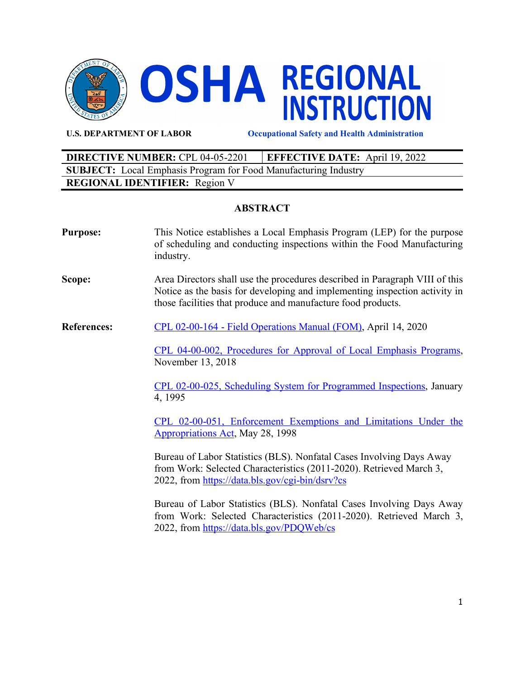

**U.S. DEPARTMENT OF LABOR Occupational Safety and Health Administration**

| <b>DIRECTIVE NUMBER: CPL 04-05-2201</b>                                | <b>EFFECTIVE DATE:</b> April 19, 2022 |  |  |
|------------------------------------------------------------------------|---------------------------------------|--|--|
| <b>SUBJECT:</b> Local Emphasis Program for Food Manufacturing Industry |                                       |  |  |
| <b>REGIONAL IDENTIFIER:</b> Region V                                   |                                       |  |  |

# **ABSTRACT**

| <b>Purpose:</b>    | This Notice establishes a Local Emphasis Program (LEP) for the purpose<br>of scheduling and conducting inspections within the Food Manufacturing<br>industry.                                                             |  |  |
|--------------------|---------------------------------------------------------------------------------------------------------------------------------------------------------------------------------------------------------------------------|--|--|
| Scope:             | Area Directors shall use the procedures described in Paragraph VIII of this<br>Notice as the basis for developing and implementing inspection activity in<br>those facilities that produce and manufacture food products. |  |  |
| <b>References:</b> | CPL 02-00-164 - Field Operations Manual (FOM), April 14, 2020                                                                                                                                                             |  |  |
|                    | CPL 04-00-002, Procedures for Approval of Local Emphasis Programs,<br>November 13, 2018                                                                                                                                   |  |  |
|                    | CPL 02-00-025, Scheduling System for Programmed Inspections, January<br>4, 1995                                                                                                                                           |  |  |
|                    | CPL 02-00-051, Enforcement Exemptions and Limitations Under the<br><b>Appropriations Act, May 28, 1998</b>                                                                                                                |  |  |
|                    | Bureau of Labor Statistics (BLS). Nonfatal Cases Involving Days Away<br>from Work: Selected Characteristics (2011-2020). Retrieved March 3,<br>2022, from https://data.bls.gov/cgi-bin/dsrv?cs                            |  |  |
|                    | Bureau of Labor Statistics (BLS). Nonfatal Cases Involving Days Away<br>from Work: Selected Characteristics (2011-2020). Retrieved March 3,<br>2022, from https://data.bls.gov/PDQWeb/cs                                  |  |  |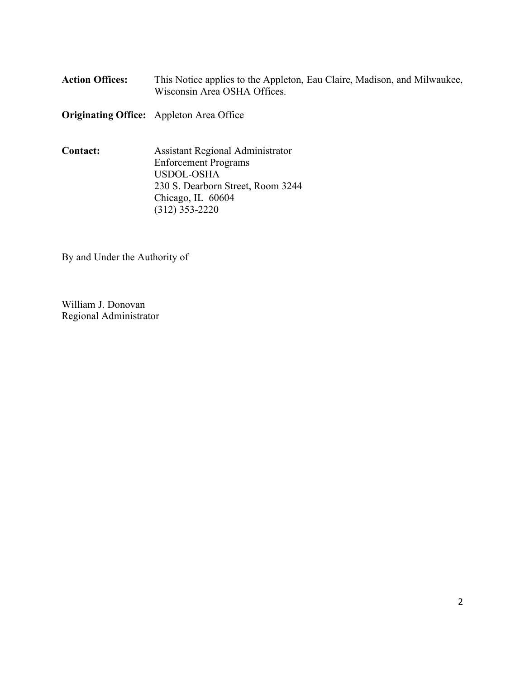| <b>Action Offices:</b> | This Notice applies to the Appleton, Eau Claire, Madison, and Milwaukee, |
|------------------------|--------------------------------------------------------------------------|
|                        | Wisconsin Area OSHA Offices.                                             |

**Originating Office:** Appleton Area Office

**Contact:** Assistant Regional Administrator Enforcement Programs USDOL-OSHA 230 S. Dearborn Street, Room 3244 Chicago, IL 60604 (312) 353-2220

By and Under the Authority of

William J. Donovan Regional Administrator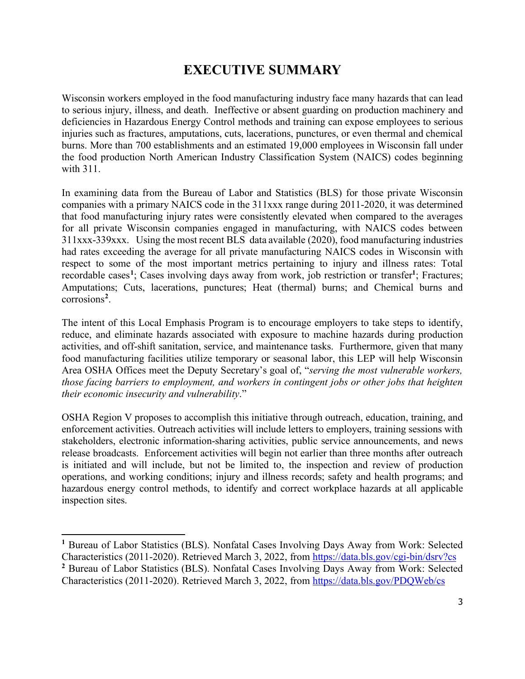# **EXECUTIVE SUMMARY**

<span id="page-2-0"></span>Wisconsin workers employed in the food manufacturing industry face many hazards that can lead to serious injury, illness, and death. Ineffective or absent guarding on production machinery and deficiencies in Hazardous Energy Control methods and training can expose employees to serious injuries such as fractures, amputations, cuts, lacerations, punctures, or even thermal and chemical burns. More than 700 establishments and an estimated 19,000 employees in Wisconsin fall under the food production North American Industry Classification System (NAICS) codes beginning with 311.

In examining data from the Bureau of Labor and Statistics (BLS) for those private Wisconsin companies with a primary NAICS code in the 311xxx range during 2011-2020, it was determined that food manufacturing injury rates were consistently elevated when compared to the averages for all private Wisconsin companies engaged in manufacturing, with NAICS codes between 311xxx-339xxx. Using the most recent BLS data available (2020), food manufacturing industries had rates exceeding the average for all private manufacturing NAICS codes in Wisconsin with respect to some of the most important metrics pertaining to injury and illness rates: Total recordable cases**<sup>1</sup>** ; Cases involving days away from work, job restriction or transfer**<sup>1</sup>** ; Fractures; Amputations; Cuts, lacerations, punctures; Heat (thermal) burns; and Chemical burns and corrosions**<sup>2</sup>** .

The intent of this Local Emphasis Program is to encourage employers to take steps to identify, reduce, and eliminate hazards associated with exposure to machine hazards during production activities, and off-shift sanitation, service, and maintenance tasks. Furthermore, given that many food manufacturing facilities utilize temporary or seasonal labor, this LEP will help Wisconsin Area OSHA Offices meet the Deputy Secretary's goal of, "*serving the most vulnerable workers, those facing barriers to employment, and workers in contingent jobs or other jobs that heighten their economic insecurity and vulnerability*."

OSHA Region V proposes to accomplish this initiative through outreach, education, training, and enforcement activities. Outreach activities will include letters to employers, training sessions with stakeholders, electronic information-sharing activities, public service announcements, and news release broadcasts. Enforcement activities will begin not earlier than three months after outreach is initiated and will include, but not be limited to, the inspection and review of production operations, and working conditions; injury and illness records; safety and health programs; and hazardous energy control methods, to identify and correct workplace hazards at all applicable inspection sites.

**<sup>1</sup>** Bureau of Labor Statistics (BLS). Nonfatal Cases Involving Days Away from Work: Selected Characteristics (2011-2020). Retrieved March 3, 2022, from <https://data.bls.gov/cgi-bin/dsrv?cs>**<sup>2</sup>** Bureau of Labor Statistics (BLS). Nonfatal Cases Involving Days Away from Work: Selected Characteristics (2011-2020). Retrieved March 3, 2022, from<https://data.bls.gov/PDQWeb/cs>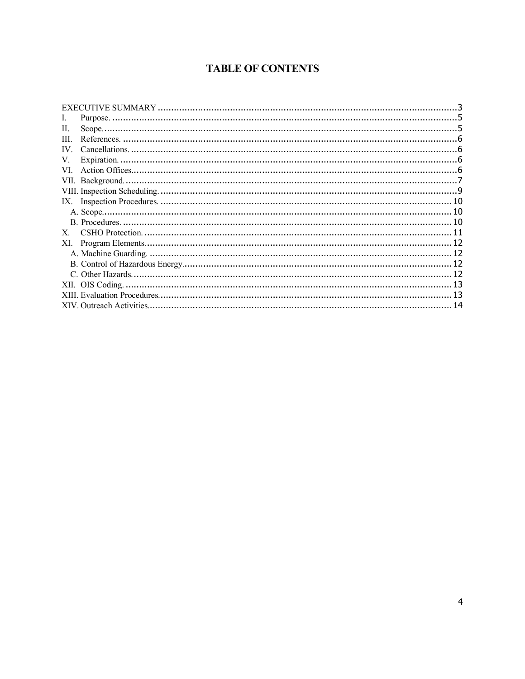# **TABLE OF CONTENTS**

| Н.       |  |
|----------|--|
| HL.      |  |
| $IV_{-}$ |  |
| V.       |  |
| VL.      |  |
|          |  |
|          |  |
|          |  |
|          |  |
|          |  |
| X.       |  |
| XI.      |  |
|          |  |
|          |  |
|          |  |
|          |  |
|          |  |
|          |  |
|          |  |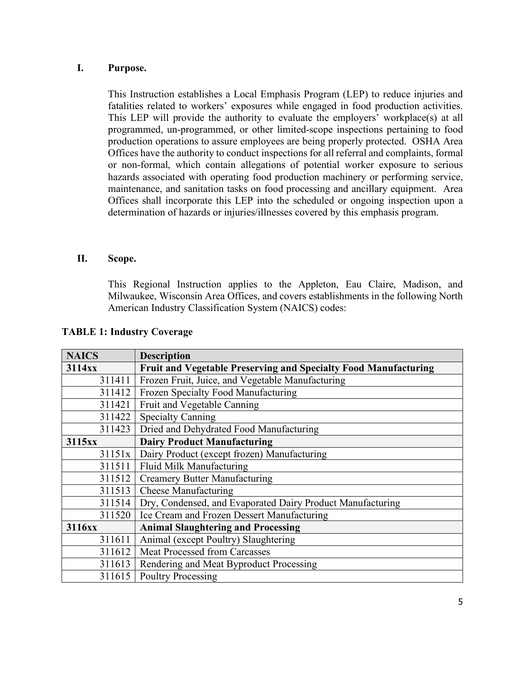# <span id="page-4-0"></span>**I. Purpose.**

This Instruction establishes a Local Emphasis Program (LEP) to reduce injuries and fatalities related to workers' exposures while engaged in food production activities. This LEP will provide the authority to evaluate the employers' workplace(s) at all programmed, un-programmed, or other limited-scope inspections pertaining to food production operations to assure employees are being properly protected. OSHA Area Offices have the authority to conduct inspections for all referral and complaints, formal or non-formal, which contain allegations of potential worker exposure to serious hazards associated with operating food production machinery or performing service, maintenance, and sanitation tasks on food processing and ancillary equipment. Area Offices shall incorporate this LEP into the scheduled or ongoing inspection upon a determination of hazards or injuries/illnesses covered by this emphasis program.

### <span id="page-4-1"></span>**II. Scope.**

This Regional Instruction applies to the Appleton, Eau Claire, Madison, and Milwaukee, Wisconsin Area Offices, and covers establishments in the following North American Industry Classification System (NAICS) codes:

| <b>NAICS</b> | <b>Description</b>                                              |  |  |
|--------------|-----------------------------------------------------------------|--|--|
| 3114xx       | Fruit and Vegetable Preserving and Specialty Food Manufacturing |  |  |
| 311411       | Frozen Fruit, Juice, and Vegetable Manufacturing                |  |  |
| 311412       | Frozen Specialty Food Manufacturing                             |  |  |
| 311421       | Fruit and Vegetable Canning                                     |  |  |
| 311422       | <b>Specialty Canning</b>                                        |  |  |
| 311423       | Dried and Dehydrated Food Manufacturing                         |  |  |
| 3115xx       | <b>Dairy Product Manufacturing</b>                              |  |  |
| 31151x       | Dairy Product (except frozen) Manufacturing                     |  |  |
| 311511       | Fluid Milk Manufacturing                                        |  |  |
| 311512       | <b>Creamery Butter Manufacturing</b>                            |  |  |
| 311513       | <b>Cheese Manufacturing</b>                                     |  |  |
| 311514       | Dry, Condensed, and Evaporated Dairy Product Manufacturing      |  |  |
| 311520       | Ice Cream and Frozen Dessert Manufacturing                      |  |  |
| 3116xx       | <b>Animal Slaughtering and Processing</b>                       |  |  |
| 311611       | Animal (except Poultry) Slaughtering                            |  |  |
| 311612       | <b>Meat Processed from Carcasses</b>                            |  |  |
| 311613       | Rendering and Meat Byproduct Processing                         |  |  |
| 311615       | <b>Poultry Processing</b>                                       |  |  |

#### **TABLE 1: Industry Coverage**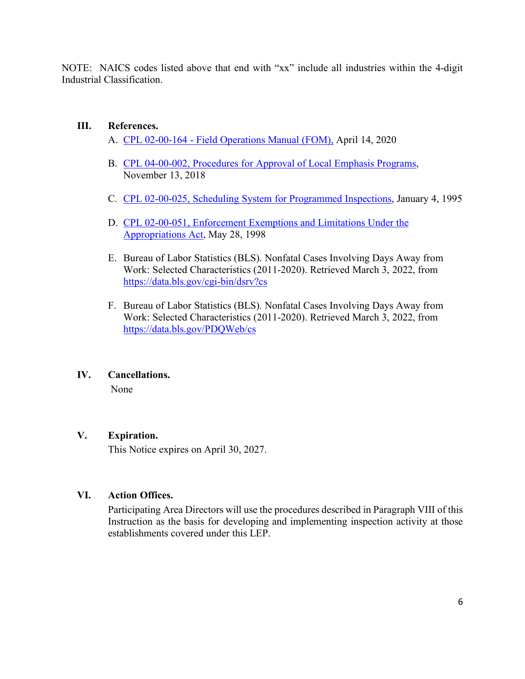NOTE: NAICS codes listed above that end with "xx" include all industries within the 4-digit Industrial Classification.

# <span id="page-5-0"></span>**III. References.**

- A. [CPL 02-00-164 Field Operations Manual \(FOM\),](https://www.osha.gov/sites/default/files/enforcement/directives/CPL_02-00-164_1.pdf) April 14, 2020
- B. [CPL 04-00-002, Procedures for Approval of Local Emphasis Programs,](https://www.osha.gov/sites/default/files/enforcement/directives/CPL_04-00-002_0.pdf) November 13, 2018
- C. [CPL 02-00-025, Scheduling System for Programmed Inspections,](https://www.osha.gov/enforcement/directives/cpl-02-00-025) January 4, 1995
- D. [CPL 02-00-051, Enforcement Exemptions and Limitations Under the](https://www.osha.gov/enforcement/directives/cpl-02-00-051)  Appropriations Act, May 28, 1998
- E. Bureau of Labor Statistics (BLS). Nonfatal Cases Involving Days Away from Work: Selected Characteristics (2011-2020). Retrieved March 3, 2022, from <https://data.bls.gov/cgi-bin/dsrv?cs>
- F. Bureau of Labor Statistics (BLS). Nonfatal Cases Involving Days Away from Work: Selected Characteristics (2011-2020). Retrieved March 3, 2022, from <https://data.bls.gov/PDQWeb/cs>

# <span id="page-5-1"></span>**IV. Cancellations.**

None

# <span id="page-5-2"></span>**V. Expiration.**

This Notice expires on April 30, 2027.

# <span id="page-5-3"></span>**VI. Action Offices.**

Participating Area Directors will use the procedures described in Paragraph VIII of this Instruction as the basis for developing and implementing inspection activity at those establishments covered under this LEP.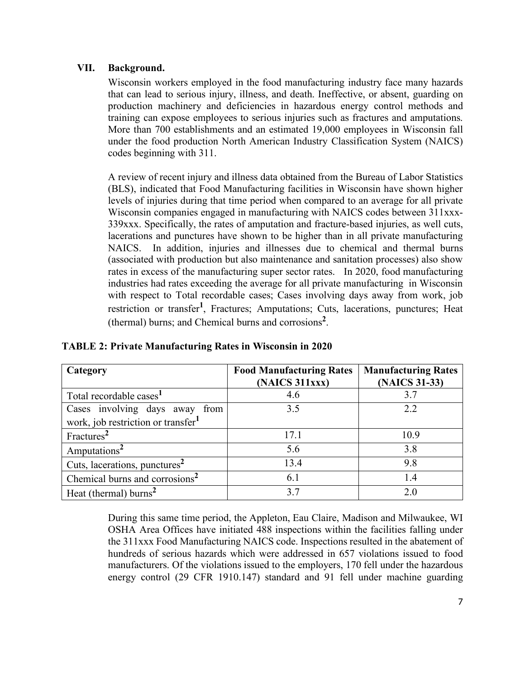# <span id="page-6-0"></span>**VII. Background.**

Cuts, lacerations, punctures**<sup>2</sup>**

Wisconsin workers employed in the food manufacturing industry face many hazards that can lead to serious injury, illness, and death. Ineffective, or absent, guarding on production machinery and deficiencies in hazardous energy control methods and training can expose employees to serious injuries such as fractures and amputations. More than 700 establishments and an estimated 19,000 employees in Wisconsin fall under the food production North American Industry Classification System (NAICS) codes beginning with 311.

A review of recent injury and illness data obtained from the Bureau of Labor Statistics (BLS), indicated that Food Manufacturing facilities in Wisconsin have shown higher levels of injuries during that time period when compared to an average for all private Wisconsin companies engaged in manufacturing with NAICS codes between 311xxx-339xxx. Specifically, the rates of amputation and fracture-based injuries, as well cuts, lacerations and punctures have shown to be higher than in all private manufacturing NAICS. In addition, injuries and illnesses due to chemical and thermal burns (associated with production but also maintenance and sanitation processes) also show rates in excess of the manufacturing super sector rates. In 2020, food manufacturing industries had rates exceeding the average for all private manufacturing in Wisconsin with respect to Total recordable cases; Cases involving days away from work, job restriction or transfer**<sup>1</sup>** , Fractures; Amputations; Cuts, lacerations, punctures; Heat (thermal) burns; and Chemical burns and corrosions**<sup>2</sup>** .

| Category                                       | <b>Food Manufacturing Rates</b><br>(NAICS 311xxx) | <b>Manufacturing Rates</b><br>(NAICS 31-33) |
|------------------------------------------------|---------------------------------------------------|---------------------------------------------|
| Total recordable cases <sup>1</sup>            | 4.6                                               | 3.7                                         |
| Cases involving days away<br>from              | 3.5                                               | 2.2                                         |
| work, job restriction or transfer <sup>1</sup> |                                                   |                                             |
| Fractures <sup>2</sup>                         | 17.1                                              | 10.9                                        |
| Amputations <sup>2</sup>                       | 5.6                                               | 3.8                                         |

Chemical burns and corrosions<sup>2</sup> 6.1 1.4 Heat (thermal) burns<sup>2</sup> 2.0

### **TABLE 2: Private Manufacturing Rates in Wisconsin in 2020**

During this same time period, the Appleton, Eau Claire, Madison and Milwaukee, WI OSHA Area Offices have initiated 488 inspections within the facilities falling under the 311xxx Food Manufacturing NAICS code. Inspections resulted in the abatement of hundreds of serious hazards which were addressed in 657 violations issued to food manufacturers. Of the violations issued to the employers, 170 fell under the hazardous energy control (29 CFR 1910.147) standard and 91 fell under machine guarding

13.4 9.8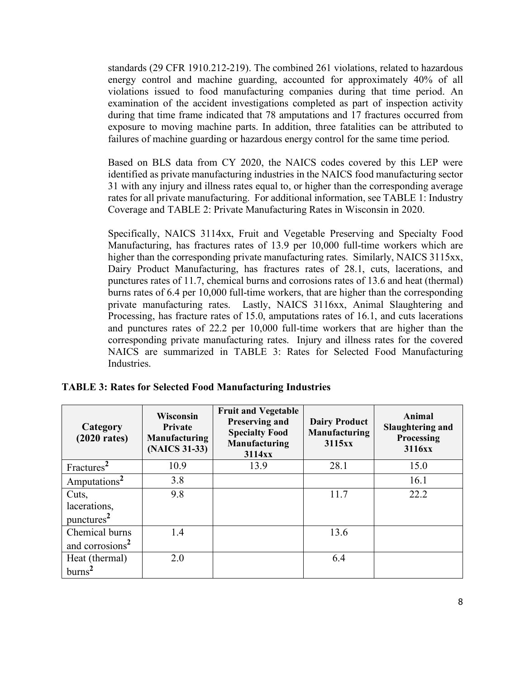standards (29 CFR 1910.212-219). The combined 261 violations, related to hazardous energy control and machine guarding, accounted for approximately 40% of all violations issued to food manufacturing companies during that time period. An examination of the accident investigations completed as part of inspection activity during that time frame indicated that 78 amputations and 17 fractures occurred from exposure to moving machine parts. In addition, three fatalities can be attributed to failures of machine guarding or hazardous energy control for the same time period.

Based on BLS data from CY 2020, the NAICS codes covered by this LEP were identified as private manufacturing industries in the NAICS food manufacturing sector 31 with any injury and illness rates equal to, or higher than the corresponding average rates for all private manufacturing. For additional information, see TABLE 1: Industry Coverage and TABLE 2: Private Manufacturing Rates in Wisconsin in 2020.

Specifically, NAICS 3114xx, Fruit and Vegetable Preserving and Specialty Food Manufacturing, has fractures rates of 13.9 per 10,000 full-time workers which are higher than the corresponding private manufacturing rates. Similarly, NAICS 3115xx, Dairy Product Manufacturing, has fractures rates of 28.1, cuts, lacerations, and punctures rates of 11.7, chemical burns and corrosions rates of 13.6 and heat (thermal) burns rates of 6.4 per 10,000 full-time workers, that are higher than the corresponding private manufacturing rates. Lastly, NAICS 3116xx, Animal Slaughtering and Processing, has fracture rates of 15.0, amputations rates of 16.1, and cuts lacerations and punctures rates of 22.2 per 10,000 full-time workers that are higher than the corresponding private manufacturing rates. Injury and illness rates for the covered NAICS are summarized in TABLE 3: Rates for Selected Food Manufacturing Industries.

| Category<br>$(2020 \text{ rates})$ | <b>Wisconsin</b><br>Private<br><b>Manufacturing</b><br>(NAICS 31-33) | <b>Fruit and Vegetable</b><br><b>Preserving and</b><br><b>Specialty Food</b><br>Manufacturing<br>3114xx | <b>Dairy Product</b><br>Manufacturing<br>3115xx | Animal<br>Slaughtering and<br>Processing<br>3116xx |
|------------------------------------|----------------------------------------------------------------------|---------------------------------------------------------------------------------------------------------|-------------------------------------------------|----------------------------------------------------|
| Fractures <sup>2</sup>             | 10.9                                                                 | 13.9                                                                                                    | 28.1                                            | 15.0                                               |
| Amputations <sup>2</sup>           | 3.8                                                                  |                                                                                                         |                                                 | 16.1                                               |
| Cuts,                              | 9.8                                                                  |                                                                                                         | 11.7                                            | 22.2                                               |
| lacerations,                       |                                                                      |                                                                                                         |                                                 |                                                    |
| punctures <sup>2</sup>             |                                                                      |                                                                                                         |                                                 |                                                    |
| Chemical burns                     | 1.4                                                                  |                                                                                                         | 13.6                                            |                                                    |
| and corrosions <sup>2</sup>        |                                                                      |                                                                                                         |                                                 |                                                    |
| Heat (thermal)                     | 2.0                                                                  |                                                                                                         | 6.4                                             |                                                    |
| burns <sup>2</sup>                 |                                                                      |                                                                                                         |                                                 |                                                    |

**TABLE 3: Rates for Selected Food Manufacturing Industries**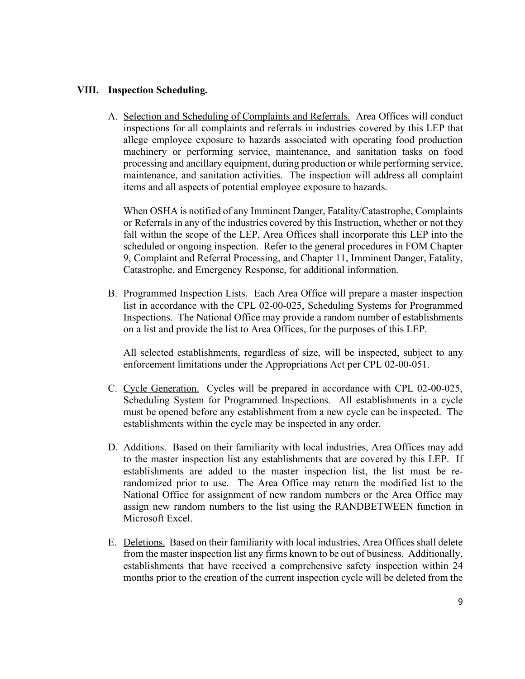# <span id="page-8-0"></span>**VIII. Inspection Scheduling.**

A. Selection and Scheduling of Complaints and Referrals. Area Offices will conduct inspections for all complaints and referrals in industries covered by this LEP that allege employee exposure to hazards associated with operating food production machinery or performing service, maintenance, and sanitation tasks on food processing and ancillary equipment, during production or while performing service, maintenance, and sanitation activities. The inspection will address all complaint items and all aspects of potential employee exposure to hazards.

When OSHA is notified of any Imminent Danger, Fatality/Catastrophe, Complaints or Referrals in any of the industries covered by this Instruction, whether or not they fall within the scope of the LEP, Area Offices shall incorporate this LEP into the scheduled or ongoing inspection. Refer to the general procedures in FOM Chapter 9, Complaint and Referral Processing, and Chapter 11, Imminent Danger, Fatality, Catastrophe, and Emergency Response, for additional information.

B. Programmed Inspection Lists. Each Area Office will prepare a master inspection list in accordance with the CPL 02-00-025, Scheduling Systems for Programmed Inspections. The National Office may provide a random number of establishments on a list and provide the list to Area Offices, for the purposes of this LEP.

All selected establishments, regardless of size, will be inspected, subject to any enforcement limitations under the Appropriations Act per CPL 02-00-051.

- C. Cycle Generation. Cycles will be prepared in accordance with CPL 02-00-025, Scheduling System for Programmed Inspections. All establishments in a cycle must be opened before any establishment from a new cycle can be inspected. The establishments within the cycle may be inspected in any order.
- D. Additions. Based on their familiarity with local industries, Area Offices may add to the master inspection list any establishments that are covered by this LEP. If establishments are added to the master inspection list, the list must be rerandomized prior to use. The Area Office may return the modified list to the National Office for assignment of new random numbers or the Area Office may assign new random numbers to the list using the RANDBETWEEN function in Microsoft Excel.
- E. Deletions. Based on their familiarity with local industries, Area Offices shall delete from the master inspection list any firms known to be out of business. Additionally, establishments that have received a comprehensive safety inspection within 24 months prior to the creation of the current inspection cycle will be deleted from the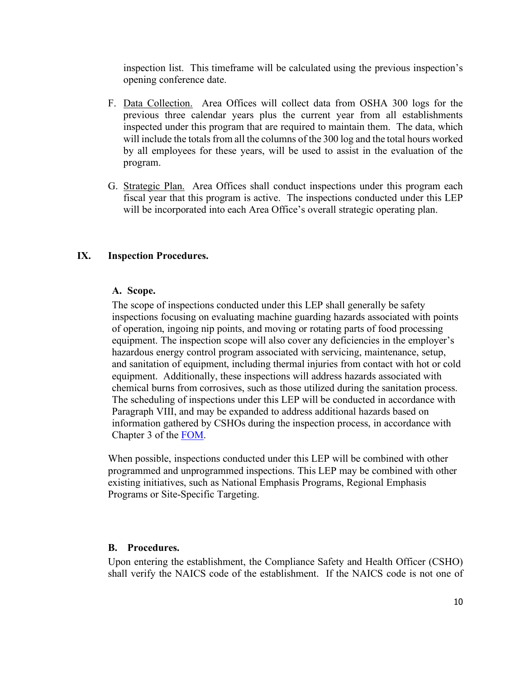inspection list. This timeframe will be calculated using the previous inspection's opening conference date.

- F. Data Collection. Area Offices will collect data from OSHA 300 logs for the previous three calendar years plus the current year from all establishments inspected under this program that are required to maintain them. The data, which will include the totals from all the columns of the 300 log and the total hours worked by all employees for these years, will be used to assist in the evaluation of the program.
- G. Strategic Plan. Area Offices shall conduct inspections under this program each fiscal year that this program is active. The inspections conducted under this LEP will be incorporated into each Area Office's overall strategic operating plan.

#### <span id="page-9-1"></span><span id="page-9-0"></span>**IX. Inspection Procedures.**

#### **A. Scope.**

The scope of inspections conducted under this LEP shall generally be safety inspections focusing on evaluating machine guarding hazards associated with points of operation, ingoing nip points, and moving or rotating parts of food processing equipment. The inspection scope will also cover any deficiencies in the employer's hazardous energy control program associated with servicing, maintenance, setup, and sanitation of equipment, including thermal injuries from contact with hot or cold equipment. Additionally, these inspections will address hazards associated with chemical burns from corrosives, such as those utilized during the sanitation process. The scheduling of inspections under this LEP will be conducted in accordance with Paragraph VIII, and may be expanded to address additional hazards based on information gathered by CSHOs during the inspection process, in accordance with Chapter 3 of the [FOM.](https://www.osha.gov/sites/default/files/enforcement/directives/CPL_02-00-164_1.pdf)

When possible, inspections conducted under this LEP will be combined with other programmed and unprogrammed inspections. This LEP may be combined with other existing initiatives, such as National Emphasis Programs, Regional Emphasis Programs or Site-Specific Targeting.

#### <span id="page-9-2"></span>**B. Procedures.**

Upon entering the establishment, the Compliance Safety and Health Officer (CSHO) shall verify the NAICS code of the establishment. If the NAICS code is not one of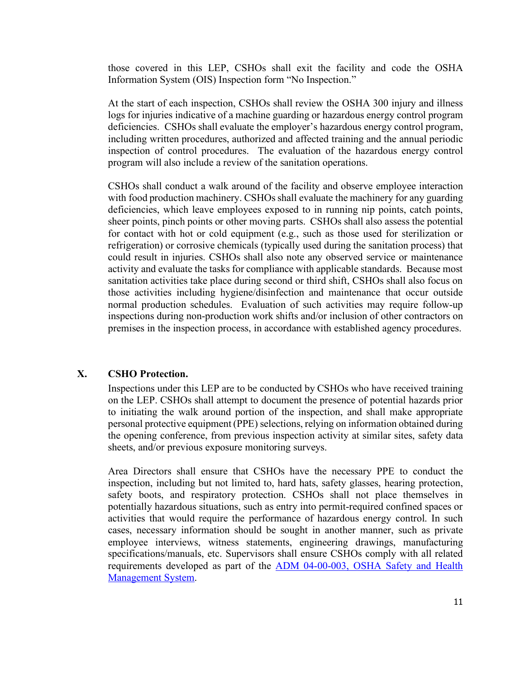those covered in this LEP, CSHOs shall exit the facility and code the OSHA Information System (OIS) Inspection form "No Inspection."

At the start of each inspection, CSHOs shall review the OSHA 300 injury and illness logs for injuries indicative of a machine guarding or hazardous energy control program deficiencies. CSHOs shall evaluate the employer's hazardous energy control program, including written procedures, authorized and affected training and the annual periodic inspection of control procedures. The evaluation of the hazardous energy control program will also include a review of the sanitation operations.

CSHOs shall conduct a walk around of the facility and observe employee interaction with food production machinery. CSHOs shall evaluate the machinery for any guarding deficiencies, which leave employees exposed to in running nip points, catch points, sheer points, pinch points or other moving parts. CSHOs shall also assess the potential for contact with hot or cold equipment (e.g., such as those used for sterilization or refrigeration) or corrosive chemicals (typically used during the sanitation process) that could result in injuries. CSHOs shall also note any observed service or maintenance activity and evaluate the tasks for compliance with applicable standards. Because most sanitation activities take place during second or third shift, CSHOs shall also focus on those activities including hygiene/disinfection and maintenance that occur outside normal production schedules. Evaluation of such activities may require follow-up inspections during non-production work shifts and/or inclusion of other contractors on premises in the inspection process, in accordance with established agency procedures.

### <span id="page-10-0"></span>**X. CSHO Protection.**

Inspections under this LEP are to be conducted by CSHOs who have received training on the LEP. CSHOs shall attempt to document the presence of potential hazards prior to initiating the walk around portion of the inspection, and shall make appropriate personal protective equipment (PPE) selections, relying on information obtained during the opening conference, from previous inspection activity at similar sites, safety data sheets, and/or previous exposure monitoring surveys.

Area Directors shall ensure that CSHOs have the necessary PPE to conduct the inspection, including but not limited to, hard hats, safety glasses, hearing protection, safety boots, and respiratory protection. CSHOs shall not place themselves in potentially hazardous situations, such as entry into permit-required confined spaces or activities that would require the performance of hazardous energy control. In such cases, necessary information should be sought in another manner, such as private employee interviews, witness statements, engineering drawings, manufacturing specifications/manuals, etc. Supervisors shall ensure CSHOs comply with all related [requirements developed as part of the ADM 04-00-003, OSHA Safety and Health](https://www.osha.gov/sites/default/files/enforcement/directives/ADM_04-00-003.pdf)  Management System.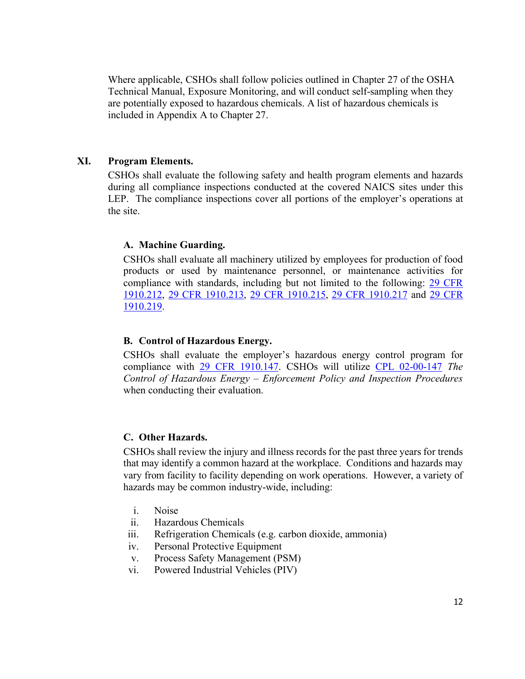Where applicable, CSHOs shall follow policies outlined in Chapter 27 of the OSHA Technical Manual, Exposure Monitoring, and will conduct self-sampling when they are potentially exposed to hazardous chemicals. A list of hazardous chemicals is included in Appendix A to Chapter 27.

#### <span id="page-11-0"></span>**XI. Program Elements.**

CSHOs shall evaluate the following safety and health program elements and hazards during all compliance inspections conducted at the covered NAICS sites under this LEP. The compliance inspections cover all portions of the employer's operations at the site.

#### <span id="page-11-1"></span>**A. Machine Guarding.**

CSHOs shall evaluate all machinery utilized by employees for production of food products or used by maintenance personnel, or maintenance activities for compliance with standards, including but not limited to the following: [29 CFR](https://www.osha.gov/laws-regs/regulations/standardnumber/1910/1910.212)  1910.212, [29 CFR 1910.213,](https://www.osha.gov/laws-regs/regulations/standardnumber/1910/1910.213) [29 CFR 1910.215,](https://www.osha.gov/laws-regs/regulations/standardnumber/1910/1910.215) [29 CFR 1910.217](https://www.osha.gov/laws-regs/regulations/standardnumber/1910/1910.217) and [29 CFR](https://www.osha.gov/laws-regs/regulations/standardnumber/1910/1910.219)  1910.219.

#### <span id="page-11-2"></span>**B. Control of Hazardous Energy.**

CSHOs shall evaluate the employer's hazardous energy control program for compliance with [29 CFR 1910.147.](https://www.osha.gov/laws-regs/regulations/standardnumber/1910/1910.147) CSHOs will utilize [CPL 02-00-147](https://www.osha.gov/sites/default/files/enforcement/directives/CPL_02-00-147.pdf) *The Control of Hazardous Energy – Enforcement Policy and Inspection Procedures* when conducting their evaluation.

#### <span id="page-11-3"></span>**C. Other Hazards.**

CSHOs shall review the injury and illness records for the past three years for trends that may identify a common hazard at the workplace. Conditions and hazards may vary from facility to facility depending on work operations. However, a variety of hazards may be common industry-wide, including:

- i. Noise
- ii. Hazardous Chemicals
- iii. Refrigeration Chemicals (e.g. carbon dioxide, ammonia)
- iv. Personal Protective Equipment
- v. Process Safety Management (PSM)
- vi. Powered Industrial Vehicles (PIV)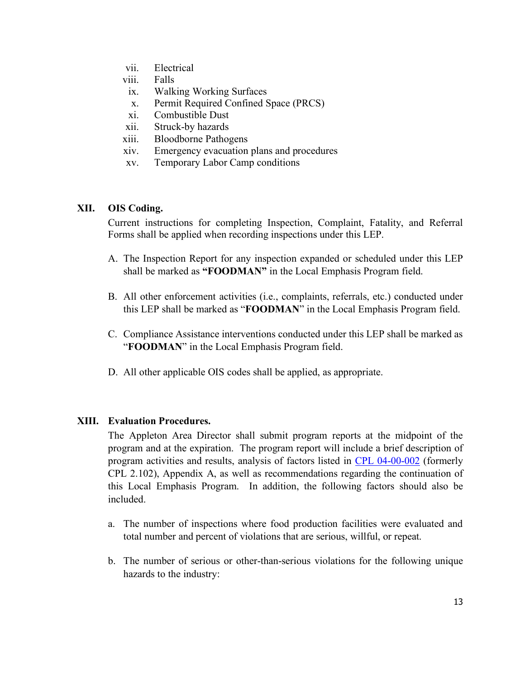- vii. Electrical
- viii. Falls
- ix. Walking Working Surfaces
- x. Permit Required Confined Space (PRCS)
- xi. Combustible Dust
- xii. Struck-by hazards
- xiii. Bloodborne Pathogens
- xiv. Emergency evacuation plans and procedures
- xv. Temporary Labor Camp conditions

#### <span id="page-12-0"></span>**XII. OIS Coding.**

Current instructions for completing Inspection, Complaint, Fatality, and Referral Forms shall be applied when recording inspections under this LEP.

- A. The Inspection Report for any inspection expanded or scheduled under this LEP shall be marked as **"FOODMAN"** in the Local Emphasis Program field.
- B. All other enforcement activities (i.e., complaints, referrals, etc.) conducted under this LEP shall be marked as "**FOODMAN**" in the Local Emphasis Program field.
- C. Compliance Assistance interventions conducted under this LEP shall be marked as "**FOODMAN**" in the Local Emphasis Program field.
- D. All other applicable OIS codes shall be applied, as appropriate.

### <span id="page-12-1"></span>**XIII. Evaluation Procedures.**

The Appleton Area Director shall submit program reports at the midpoint of the program and at the expiration. The program report will include a brief description of program activities and results, analysis of factors listed in [CPL 04-00-002](https://www.osha.gov/sites/default/files/enforcement/directives/CPL_04-00-002_0.pdf) (formerly CPL 2.102), Appendix A, as well as recommendations regarding the continuation of this Local Emphasis Program. In addition, the following factors should also be included.

- a. The number of inspections where food production facilities were evaluated and total number and percent of violations that are serious, willful, or repeat.
- b. The number of serious or other-than-serious violations for the following unique hazards to the industry: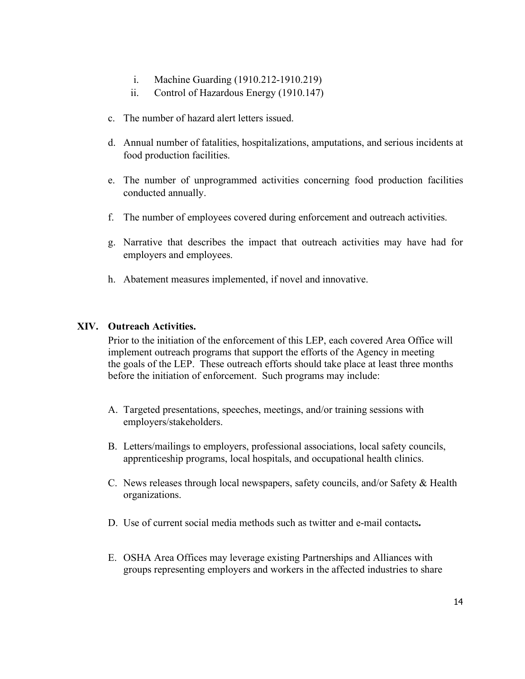- i. Machine Guarding (1910.212-1910.219)
- ii. Control of Hazardous Energy (1910.147)
- c. The number of hazard alert letters issued.
- d. Annual number of fatalities, hospitalizations, amputations, and serious incidents at food production facilities.
- e. The number of unprogrammed activities concerning food production facilities conducted annually.
- f. The number of employees covered during enforcement and outreach activities.
- g. Narrative that describes the impact that outreach activities may have had for employers and employees.
- h. Abatement measures implemented, if novel and innovative.

# <span id="page-13-0"></span>**XIV. Outreach Activities.**

Prior to the initiation of the enforcement of this LEP, each covered Area Office will implement outreach programs that support the efforts of the Agency in meeting the goals of the LEP. These outreach efforts should take place at least three months before the initiation of enforcement. Such programs may include:

- A. Targeted presentations, speeches, meetings, and/or training sessions with employers/stakeholders.
- B. Letters/mailings to employers, professional associations, local safety councils, apprenticeship programs, local hospitals, and occupational health clinics.
- C. News releases through local newspapers, safety councils, and/or Safety & Health organizations.
- D. Use of current social media methods such as twitter and e-mail contacts*.*
- E. OSHA Area Offices may leverage existing Partnerships and Alliances with groups representing employers and workers in the affected industries to share